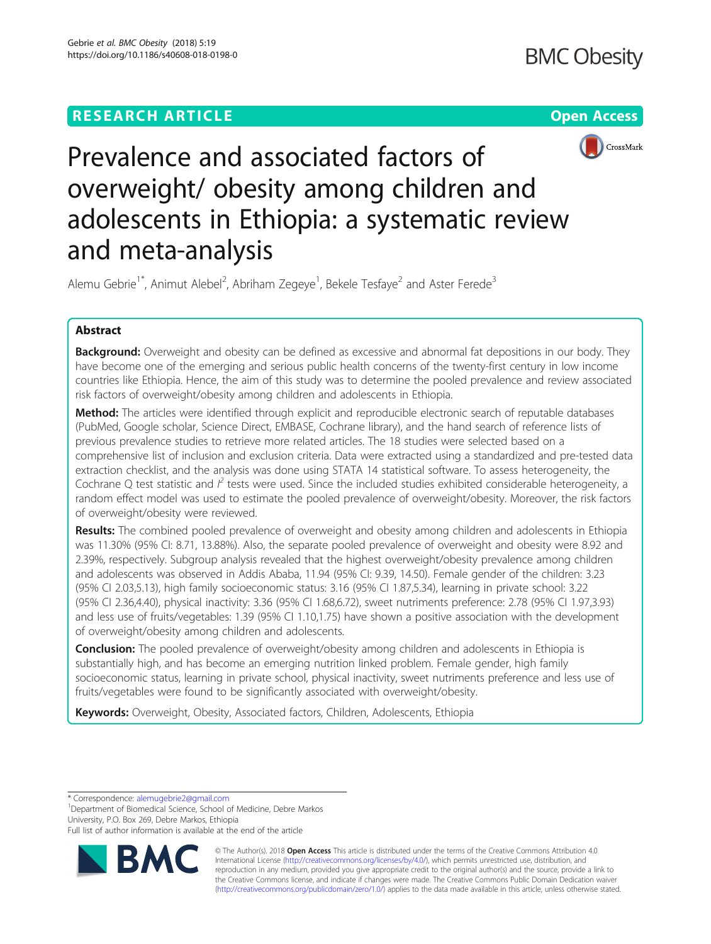



Prevalence and associated factors of overweight/ obesity among children and adolescents in Ethiopia: a systematic review and meta-analysis

Alemu Gebrie<sup>1\*</sup>, Animut Alebel<sup>2</sup>, Abriham Zegeye<sup>1</sup>, Bekele Tesfaye<sup>2</sup> and Aster Ferede<sup>3</sup>

# Abstract

**Background:** Overweight and obesity can be defined as excessive and abnormal fat depositions in our body. They have become one of the emerging and serious public health concerns of the twenty-first century in low income countries like Ethiopia. Hence, the aim of this study was to determine the pooled prevalence and review associated risk factors of overweight/obesity among children and adolescents in Ethiopia.

Method: The articles were identified through explicit and reproducible electronic search of reputable databases (PubMed, Google scholar, Science Direct, EMBASE, Cochrane library), and the hand search of reference lists of previous prevalence studies to retrieve more related articles. The 18 studies were selected based on a comprehensive list of inclusion and exclusion criteria. Data were extracted using a standardized and pre-tested data extraction checklist, and the analysis was done using STATA 14 statistical software. To assess heterogeneity, the Cochrane Q test statistic and  $l^2$  tests were used. Since the included studies exhibited considerable heterogeneity, a random effect model was used to estimate the pooled prevalence of overweight/obesity. Moreover, the risk factors of overweight/obesity were reviewed.

Results: The combined pooled prevalence of overweight and obesity among children and adolescents in Ethiopia was 11.30% (95% CI: 8.71, 13.88%). Also, the separate pooled prevalence of overweight and obesity were 8.92 and 2.39%, respectively. Subgroup analysis revealed that the highest overweight/obesity prevalence among children and adolescents was observed in Addis Ababa, 11.94 (95% CI: 9.39, 14.50). Female gender of the children: 3.23 (95% CI 2.03,5.13), high family socioeconomic status: 3.16 (95% CI 1.87,5.34), learning in private school: 3.22 (95% CI 2.36,4.40), physical inactivity: 3.36 (95% CI 1.68,6.72), sweet nutriments preference: 2.78 (95% CI 1.97,3.93) and less use of fruits/vegetables: 1.39 (95% CI 1.10,1.75) have shown a positive association with the development of overweight/obesity among children and adolescents.

**Conclusion:** The pooled prevalence of overweight/obesity among children and adolescents in Ethiopia is substantially high, and has become an emerging nutrition linked problem. Female gender, high family socioeconomic status, learning in private school, physical inactivity, sweet nutriments preference and less use of fruits/vegetables were found to be significantly associated with overweight/obesity.

Keywords: Overweight, Obesity, Associated factors, Children, Adolescents, Ethiopia

\* Correspondence: [alemugebrie2@gmail.com](mailto:alemugebrie2@gmail.com) <sup>1</sup>

<sup>1</sup>Department of Biomedical Science, School of Medicine, Debre Markos University, P.O. Box 269, Debre Markos, Ethiopia

Full list of author information is available at the end of the article



© The Author(s). 2018 Open Access This article is distributed under the terms of the Creative Commons Attribution 4.0 International License [\(http://creativecommons.org/licenses/by/4.0/](http://creativecommons.org/licenses/by/4.0/)), which permits unrestricted use, distribution, and reproduction in any medium, provided you give appropriate credit to the original author(s) and the source, provide a link to the Creative Commons license, and indicate if changes were made. The Creative Commons Public Domain Dedication waiver [\(http://creativecommons.org/publicdomain/zero/1.0/](http://creativecommons.org/publicdomain/zero/1.0/)) applies to the data made available in this article, unless otherwise stated.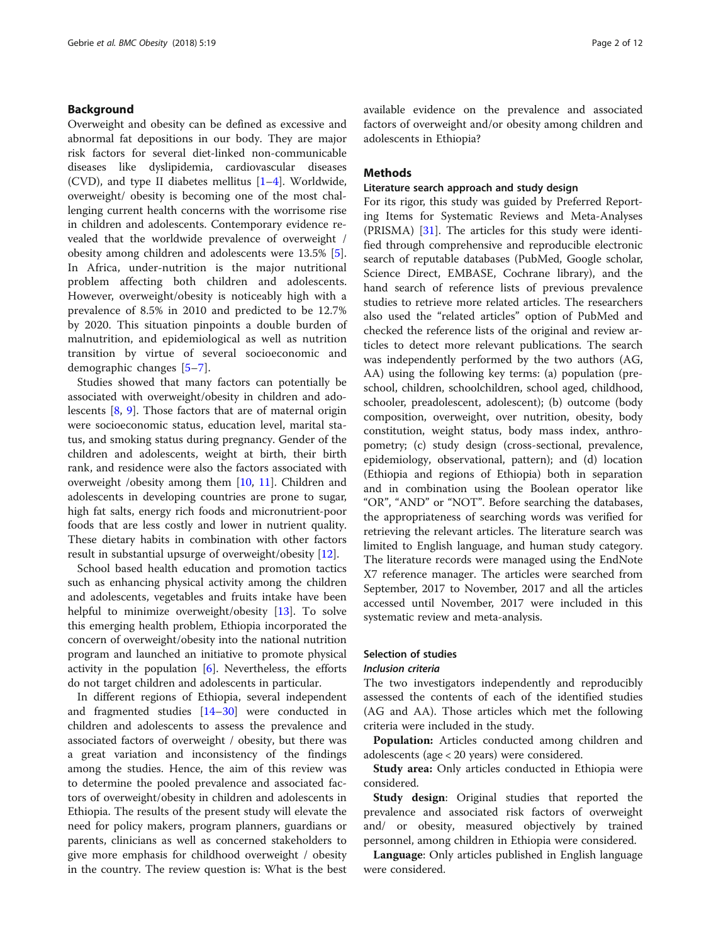# Background

Overweight and obesity can be defined as excessive and abnormal fat depositions in our body. They are major risk factors for several diet-linked non-communicable diseases like dyslipidemia, cardiovascular diseases (CVD), and type II diabetes mellitus  $[1-4]$  $[1-4]$  $[1-4]$  $[1-4]$ . Worldwide, overweight/ obesity is becoming one of the most challenging current health concerns with the worrisome rise in children and adolescents. Contemporary evidence revealed that the worldwide prevalence of overweight / obesity among children and adolescents were 13.5% [\[5](#page-9-0)]. In Africa, under-nutrition is the major nutritional problem affecting both children and adolescents. However, overweight/obesity is noticeably high with a prevalence of 8.5% in 2010 and predicted to be 12.7% by 2020. This situation pinpoints a double burden of malnutrition, and epidemiological as well as nutrition transition by virtue of several socioeconomic and demographic changes [[5](#page-9-0)–[7](#page-9-0)].

Studies showed that many factors can potentially be associated with overweight/obesity in children and adolescents [\[8](#page-9-0), [9](#page-9-0)]. Those factors that are of maternal origin were socioeconomic status, education level, marital status, and smoking status during pregnancy. Gender of the children and adolescents, weight at birth, their birth rank, and residence were also the factors associated with overweight /obesity among them [\[10,](#page-9-0) [11\]](#page-9-0). Children and adolescents in developing countries are prone to sugar, high fat salts, energy rich foods and micronutrient-poor foods that are less costly and lower in nutrient quality. These dietary habits in combination with other factors result in substantial upsurge of overweight/obesity [\[12](#page-9-0)].

School based health education and promotion tactics such as enhancing physical activity among the children and adolescents, vegetables and fruits intake have been helpful to minimize overweight/obesity [[13\]](#page-9-0). To solve this emerging health problem, Ethiopia incorporated the concern of overweight/obesity into the national nutrition program and launched an initiative to promote physical activity in the population  $[6]$  $[6]$ . Nevertheless, the efforts do not target children and adolescents in particular.

In different regions of Ethiopia, several independent and fragmented studies [[14](#page-9-0)–[30](#page-10-0)] were conducted in children and adolescents to assess the prevalence and associated factors of overweight / obesity, but there was a great variation and inconsistency of the findings among the studies. Hence, the aim of this review was to determine the pooled prevalence and associated factors of overweight/obesity in children and adolescents in Ethiopia. The results of the present study will elevate the need for policy makers, program planners, guardians or parents, clinicians as well as concerned stakeholders to give more emphasis for childhood overweight / obesity in the country. The review question is: What is the best available evidence on the prevalence and associated factors of overweight and/or obesity among children and adolescents in Ethiopia?

### Methods

### Literature search approach and study design

For its rigor, this study was guided by Preferred Reporting Items for Systematic Reviews and Meta-Analyses (PRISMA) [[31](#page-10-0)]. The articles for this study were identified through comprehensive and reproducible electronic search of reputable databases (PubMed, Google scholar, Science Direct, EMBASE, Cochrane library), and the hand search of reference lists of previous prevalence studies to retrieve more related articles. The researchers also used the "related articles" option of PubMed and checked the reference lists of the original and review articles to detect more relevant publications. The search was independently performed by the two authors (AG, AA) using the following key terms: (a) population (preschool, children, schoolchildren, school aged, childhood, schooler, preadolescent, adolescent); (b) outcome (body composition, overweight, over nutrition, obesity, body constitution, weight status, body mass index, anthropometry; (c) study design (cross-sectional, prevalence, epidemiology, observational, pattern); and (d) location (Ethiopia and regions of Ethiopia) both in separation and in combination using the Boolean operator like "OR", "AND" or "NOT". Before searching the databases, the appropriateness of searching words was verified for retrieving the relevant articles. The literature search was limited to English language, and human study category. The literature records were managed using the EndNote X7 reference manager. The articles were searched from September, 2017 to November, 2017 and all the articles accessed until November, 2017 were included in this systematic review and meta-analysis.

### Selection of studies

#### Inclusion criteria

The two investigators independently and reproducibly assessed the contents of each of the identified studies (AG and AA). Those articles which met the following criteria were included in the study.

Population: Articles conducted among children and adolescents (age < 20 years) were considered.

Study area: Only articles conducted in Ethiopia were considered.

Study design: Original studies that reported the prevalence and associated risk factors of overweight and/ or obesity, measured objectively by trained personnel, among children in Ethiopia were considered.

Language: Only articles published in English language were considered.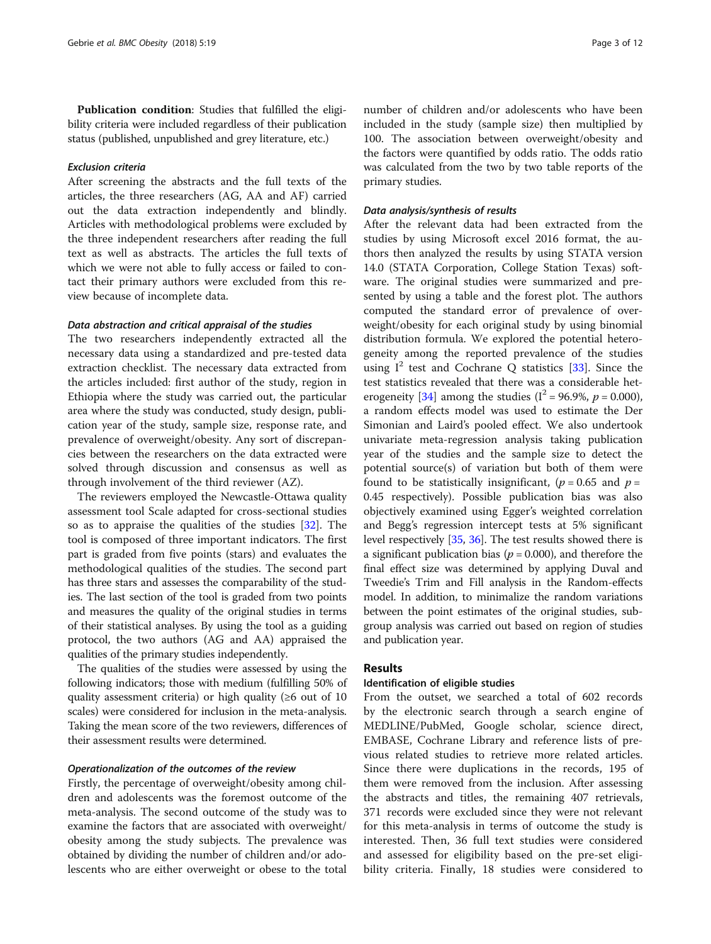Publication condition: Studies that fulfilled the eligibility criteria were included regardless of their publication status (published, unpublished and grey literature, etc.)

### Exclusion criteria

After screening the abstracts and the full texts of the articles, the three researchers (AG, AA and AF) carried out the data extraction independently and blindly. Articles with methodological problems were excluded by the three independent researchers after reading the full text as well as abstracts. The articles the full texts of which we were not able to fully access or failed to contact their primary authors were excluded from this review because of incomplete data.

# Data abstraction and critical appraisal of the studies

The two researchers independently extracted all the necessary data using a standardized and pre-tested data extraction checklist. The necessary data extracted from the articles included: first author of the study, region in Ethiopia where the study was carried out, the particular area where the study was conducted, study design, publication year of the study, sample size, response rate, and prevalence of overweight/obesity. Any sort of discrepancies between the researchers on the data extracted were solved through discussion and consensus as well as through involvement of the third reviewer (AZ).

The reviewers employed the Newcastle-Ottawa quality assessment tool Scale adapted for cross-sectional studies so as to appraise the qualities of the studies [[32\]](#page-10-0). The tool is composed of three important indicators. The first part is graded from five points (stars) and evaluates the methodological qualities of the studies. The second part has three stars and assesses the comparability of the studies. The last section of the tool is graded from two points and measures the quality of the original studies in terms of their statistical analyses. By using the tool as a guiding protocol, the two authors (AG and AA) appraised the qualities of the primary studies independently.

The qualities of the studies were assessed by using the following indicators; those with medium (fulfilling 50% of quality assessment criteria) or high quality ( $\geq 6$  out of 10 scales) were considered for inclusion in the meta-analysis. Taking the mean score of the two reviewers, differences of their assessment results were determined.

### Operationalization of the outcomes of the review

Firstly, the percentage of overweight/obesity among children and adolescents was the foremost outcome of the meta-analysis. The second outcome of the study was to examine the factors that are associated with overweight/ obesity among the study subjects. The prevalence was obtained by dividing the number of children and/or adolescents who are either overweight or obese to the total

number of children and/or adolescents who have been included in the study (sample size) then multiplied by 100. The association between overweight/obesity and the factors were quantified by odds ratio. The odds ratio was calculated from the two by two table reports of the primary studies.

### Data analysis/synthesis of results

After the relevant data had been extracted from the studies by using Microsoft excel 2016 format, the authors then analyzed the results by using STATA version 14.0 (STATA Corporation, College Station Texas) software. The original studies were summarized and presented by using a table and the forest plot. The authors computed the standard error of prevalence of overweight/obesity for each original study by using binomial distribution formula. We explored the potential heterogeneity among the reported prevalence of the studies using  $I^2$  test and Cochrane O statistics [[33\]](#page-10-0). Since the test statistics revealed that there was a considerable het-erogeneity [\[34](#page-10-0)] among the studies ( $I^2 = 96.9\%$ ,  $p = 0.000$ ), a random effects model was used to estimate the Der Simonian and Laird's pooled effect. We also undertook univariate meta-regression analysis taking publication year of the studies and the sample size to detect the potential source(s) of variation but both of them were found to be statistically insignificant, ( $p = 0.65$  and  $p =$ 0.45 respectively). Possible publication bias was also objectively examined using Egger's weighted correlation and Begg's regression intercept tests at 5% significant level respectively [\[35,](#page-10-0) [36\]](#page-10-0). The test results showed there is a significant publication bias ( $p = 0.000$ ), and therefore the final effect size was determined by applying Duval and Tweedie's Trim and Fill analysis in the Random-effects model. In addition, to minimalize the random variations between the point estimates of the original studies, subgroup analysis was carried out based on region of studies and publication year.

# Results

# Identification of eligible studies

From the outset, we searched a total of 602 records by the electronic search through a search engine of MEDLINE/PubMed, Google scholar, science direct, EMBASE, Cochrane Library and reference lists of previous related studies to retrieve more related articles. Since there were duplications in the records, 195 of them were removed from the inclusion. After assessing the abstracts and titles, the remaining 407 retrievals, 371 records were excluded since they were not relevant for this meta-analysis in terms of outcome the study is interested. Then, 36 full text studies were considered and assessed for eligibility based on the pre-set eligibility criteria. Finally, 18 studies were considered to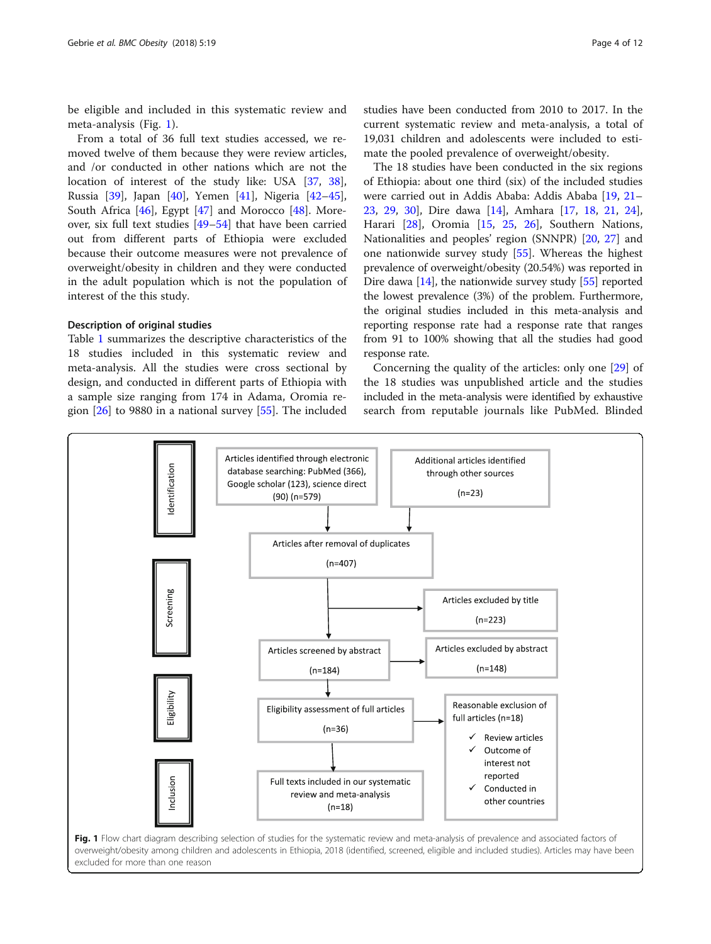be eligible and included in this systematic review and meta-analysis (Fig. 1).

From a total of 36 full text studies accessed, we removed twelve of them because they were review articles, and /or conducted in other nations which are not the location of interest of the study like: USA [\[37](#page-10-0), [38](#page-10-0)], Russia [\[39](#page-10-0)], Japan [[40\]](#page-10-0), Yemen [[41](#page-10-0)], Nigeria [[42](#page-10-0)–[45](#page-10-0)], South Africa [[46](#page-10-0)], Egypt [[47\]](#page-10-0) and Morocco [[48](#page-10-0)]. Moreover, six full text studies [\[49](#page-10-0)–[54\]](#page-10-0) that have been carried out from different parts of Ethiopia were excluded because their outcome measures were not prevalence of overweight/obesity in children and they were conducted in the adult population which is not the population of interest of the this study.

# Description of original studies

Table [1](#page-4-0) summarizes the descriptive characteristics of the 18 studies included in this systematic review and meta-analysis. All the studies were cross sectional by design, and conducted in different parts of Ethiopia with a sample size ranging from 174 in Adama, Oromia region [[26\]](#page-10-0) to 9880 in a national survey [\[55\]](#page-10-0). The included

studies have been conducted from 2010 to 2017. In the current systematic review and meta-analysis, a total of 19,031 children and adolescents were included to estimate the pooled prevalence of overweight/obesity.

The 18 studies have been conducted in the six regions of Ethiopia: about one third (six) of the included studies were carried out in Addis Ababa: Addis Ababa [\[19](#page-9-0), [21](#page-9-0)– [23,](#page-9-0) [29,](#page-10-0) [30\]](#page-10-0), Dire dawa [[14\]](#page-9-0), Amhara [\[17](#page-9-0), [18](#page-9-0), [21](#page-9-0), [24](#page-9-0)], Harari [\[28](#page-10-0)], Oromia [[15,](#page-9-0) [25,](#page-10-0) [26](#page-10-0)], Southern Nations, Nationalities and peoples' region (SNNPR) [[20](#page-9-0), [27](#page-10-0)] and one nationwide survey study [[55\]](#page-10-0). Whereas the highest prevalence of overweight/obesity (20.54%) was reported in Dire dawa [[14](#page-9-0)], the nationwide survey study [[55](#page-10-0)] reported the lowest prevalence (3%) of the problem. Furthermore, the original studies included in this meta-analysis and reporting response rate had a response rate that ranges from 91 to 100% showing that all the studies had good response rate.

Concerning the quality of the articles: only one [\[29](#page-10-0)] of the 18 studies was unpublished article and the studies included in the meta-analysis were identified by exhaustive search from reputable journals like PubMed. Blinded



excluded for more than one reason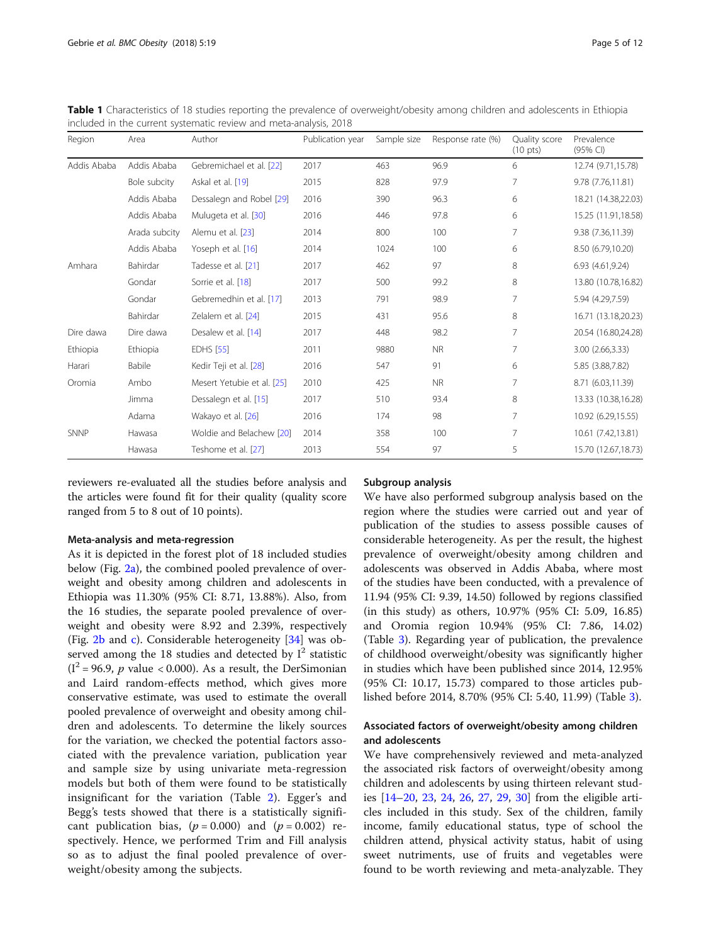<span id="page-4-0"></span>

| Table 1 Characteristics of 18 studies reporting the prevalence of overweight/obesity among children and adolescents in Ethiopia |  |
|---------------------------------------------------------------------------------------------------------------------------------|--|
| included in the current systematic review and meta-analysis, 2018                                                               |  |

| Region      | Area          | Author                     | Publication year | Sample size | Response rate (%) | Quality score<br>$(10 \text{ pts})$ | Prevalence<br>(95% CI) |
|-------------|---------------|----------------------------|------------------|-------------|-------------------|-------------------------------------|------------------------|
| Addis Ababa | Addis Ababa   | Gebremichael et al. [22]   | 2017             | 463         | 96.9              | 6                                   | 12.74 (9.71,15.78)     |
|             | Bole subcity  | Askal et al. [19]          | 2015             | 828         | 97.9              | $\overline{7}$                      | 9.78 (7.76,11.81)      |
|             | Addis Ababa   | Dessalegn and Robel [29]   | 2016             | 390         | 96.3              | 6                                   | 18.21 (14.38,22.03)    |
|             | Addis Ababa   | Mulugeta et al. [30]       | 2016             | 446         | 97.8              | 6                                   | 15.25 (11.91,18.58)    |
|             | Arada subcity | Alemu et al. [23]          | 2014             | 800         | 100               | 7                                   | 9.38 (7.36,11.39)      |
|             | Addis Ababa   | Yoseph et al. [16]         | 2014             | 1024        | 100               | 6                                   | 8.50 (6.79,10.20)      |
| Amhara      | Bahirdar      | Tadesse et al. [21]        | 2017             | 462         | 97                | 8                                   | 6.93 (4.61,9.24)       |
|             | Gondar        | Sorrie et al. [18]         | 2017             | 500         | 99.2              | 8                                   | 13.80 (10.78,16.82)    |
|             | Gondar        | Gebremedhin et al. [17]    | 2013             | 791         | 98.9              | 7                                   | 5.94 (4.29,7.59)       |
|             | Bahirdar      | Zelalem et al. [24]        | 2015             | 431         | 95.6              | 8                                   | 16.71 (13.18,20.23)    |
| Dire dawa   | Dire dawa     | Desalew et al. [14]        | 2017             | 448         | 98.2              | 7                                   | 20.54 (16.80,24.28)    |
| Ethiopia    | Ethiopia      | <b>EDHS</b> [55]           | 2011             | 9880        | <b>NR</b>         | $\overline{7}$                      | 3.00 (2.66,3.33)       |
| Harari      | Babile        | Kedir Teji et al. [28]     | 2016             | 547         | 91                | 6                                   | 5.85 (3.88,7.82)       |
| Oromia      | Ambo          | Mesert Yetubie et al. [25] | 2010             | 425         | <b>NR</b>         | $\overline{7}$                      | 8.71 (6.03,11.39)      |
|             | Jimma         | Dessalegn et al. [15]      | 2017             | 510         | 93.4              | 8                                   | 13.33 (10.38,16.28)    |
|             | Adama         | Wakayo et al. [26]         | 2016             | 174         | 98                | $\overline{7}$                      | 10.92 (6.29,15.55)     |
| <b>SNNP</b> | Hawasa        | Woldie and Belachew [20]   | 2014             | 358         | 100               | $\overline{7}$                      | 10.61 (7.42,13.81)     |
|             | Hawasa        | Teshome et al. [27]        | 2013             | 554         | 97                | 5                                   | 15.70 (12.67,18.73)    |

reviewers re-evaluated all the studies before analysis and the articles were found fit for their quality (quality score ranged from 5 to 8 out of 10 points).

### Meta-analysis and meta-regression

As it is depicted in the forest plot of 18 included studies below (Fig. [2a\)](#page-5-0), the combined pooled prevalence of overweight and obesity among children and adolescents in Ethiopia was 11.30% (95% CI: 8.71, 13.88%). Also, from the 16 studies, the separate pooled prevalence of overweight and obesity were 8.92 and 2.39%, respectively (Fig. [2b](#page-5-0) and [c](#page-5-0)). Considerable heterogeneity [[34](#page-10-0)] was observed among the 18 studies and detected by  $I^2$  statistic  $(I^2 = 96.9, p$  value < 0.000). As a result, the DerSimonian and Laird random-effects method, which gives more conservative estimate, was used to estimate the overall pooled prevalence of overweight and obesity among children and adolescents. To determine the likely sources for the variation, we checked the potential factors associated with the prevalence variation, publication year and sample size by using univariate meta-regression models but both of them were found to be statistically insignificant for the variation (Table [2](#page-6-0)). Egger's and Begg's tests showed that there is a statistically significant publication bias,  $(p = 0.000)$  and  $(p = 0.002)$  respectively. Hence, we performed Trim and Fill analysis so as to adjust the final pooled prevalence of overweight/obesity among the subjects.

### Subgroup analysis

We have also performed subgroup analysis based on the region where the studies were carried out and year of publication of the studies to assess possible causes of considerable heterogeneity. As per the result, the highest prevalence of overweight/obesity among children and adolescents was observed in Addis Ababa, where most of the studies have been conducted, with a prevalence of 11.94 (95% CI: 9.39, 14.50) followed by regions classified (in this study) as others, 10.97% (95% CI: 5.09, 16.85) and Oromia region 10.94% (95% CI: 7.86, 14.02) (Table [3\)](#page-6-0). Regarding year of publication, the prevalence of childhood overweight/obesity was significantly higher in studies which have been published since 2014, 12.95% (95% CI: 10.17, 15.73) compared to those articles published before 2014, 8.70% (95% CI: 5.40, 11.99) (Table [3](#page-6-0)).

# Associated factors of overweight/obesity among children and adolescents

We have comprehensively reviewed and meta-analyzed the associated risk factors of overweight/obesity among children and adolescents by using thirteen relevant studies [\[14](#page-9-0)–[20,](#page-9-0) [23,](#page-9-0) [24](#page-9-0), [26,](#page-10-0) [27](#page-10-0), [29](#page-10-0), [30\]](#page-10-0) from the eligible articles included in this study. Sex of the children, family income, family educational status, type of school the children attend, physical activity status, habit of using sweet nutriments, use of fruits and vegetables were found to be worth reviewing and meta-analyzable. They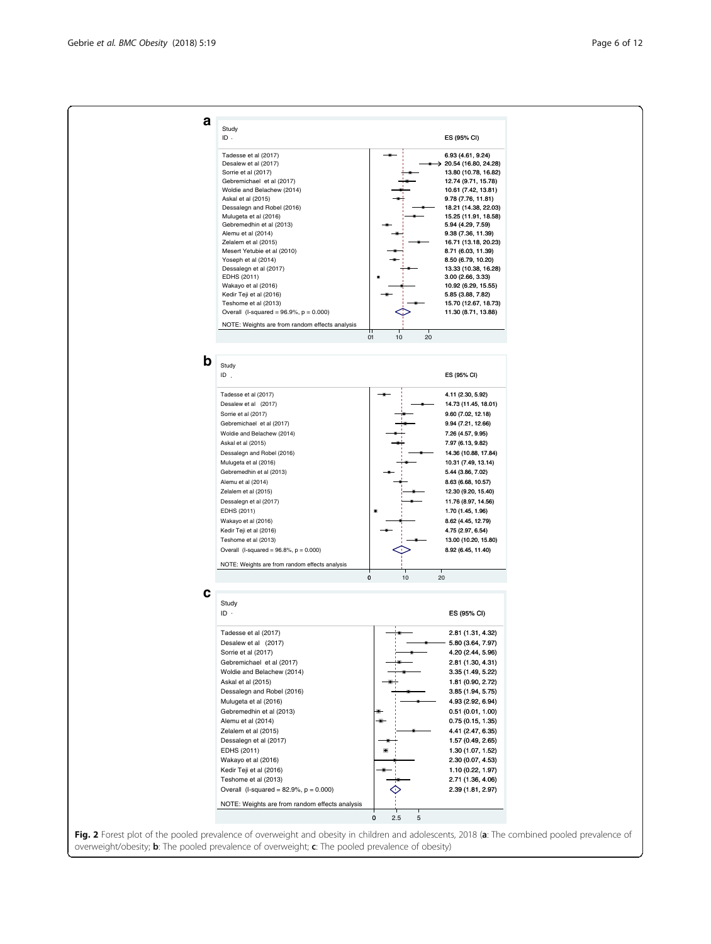<span id="page-5-0"></span>

| а           | Study                                                                 |                   |                                             |  |
|-------------|-----------------------------------------------------------------------|-------------------|---------------------------------------------|--|
|             | ID.                                                                   |                   | ES (95% CI)                                 |  |
|             | Tadesse et al (2017)                                                  |                   | 6.93 (4.61, 9.24)                           |  |
|             | Desalew et al (2017)                                                  |                   | 20.54 (16.80, 24.28)                        |  |
|             | Sorrie et al (2017)                                                   |                   | 13.80 (10.78, 16.82)                        |  |
|             | Gebremichael et al (2017)                                             |                   | 12.74 (9.71, 15.78)                         |  |
|             | Woldie and Belachew (2014)<br>Askal et al (2015)                      |                   | 10.61 (7.42, 13.81)<br>9.78 (7.76, 11.81)   |  |
|             | Dessalegn and Robel (2016)                                            |                   | 18.21 (14.38, 22.03)                        |  |
|             | Mulugeta et al (2016)                                                 |                   | 15.25 (11.91, 18.58)                        |  |
|             | Gebremedhin et al (2013)<br>Alemu et al (2014)                        |                   | 5.94 (4.29, 7.59)<br>9.38 (7.36, 11.39)     |  |
|             | Zelalem et al (2015)                                                  |                   | 16.71 (13.18, 20.23)                        |  |
|             | Mesert Yetubie et al (2010)                                           |                   | 8.71 (6.03, 11.39)                          |  |
|             | Yoseph et al (2014)<br>Dessalegn et al (2017)                         |                   | 8.50 (6.79, 10.20)                          |  |
|             | EDHS (2011)                                                           |                   | 13.33 (10.38, 16.28)<br>3.00 (2.66, 3.33)   |  |
|             | Wakayo et al (2016)                                                   |                   | 10.92 (6.29, 15.55)                         |  |
|             | Kedir Teji et al (2016)                                               |                   | 5.85 (3.88, 7.82)                           |  |
|             | Teshome et al (2013)<br>Overall (I-squared = $96.9\%$ , $p = 0.000$ ) |                   | 15.70 (12.67, 18.73)<br>11.30 (8.71, 13.88) |  |
|             |                                                                       |                   |                                             |  |
|             | NOTE: Weights are from random effects analysis                        |                   |                                             |  |
|             |                                                                       | 10<br>20<br>01    |                                             |  |
| $\mathbf b$ | Study                                                                 |                   |                                             |  |
|             | ID                                                                    |                   | ES (95% CI)                                 |  |
|             |                                                                       |                   |                                             |  |
|             | Tadesse et al (2017)                                                  |                   | 4.11 (2.30, 5.92)                           |  |
|             | Desalew et al (2017)                                                  |                   | 14.73 (11.45, 18.01)                        |  |
|             | Sorrie et al (2017)<br>Gebremichael et al (2017)                      |                   | 9.60 (7.02, 12.18)<br>9.94 (7.21, 12.66)    |  |
|             | Woldie and Belachew (2014)                                            |                   | 7.26 (4.57, 9.95)                           |  |
|             | Askal et al (2015)                                                    |                   | 7.97 (6.13, 9.82)                           |  |
|             | Dessalegn and Robel (2016)                                            |                   | 14.36 (10.88, 17.84)                        |  |
|             | Mulugeta et al (2016)                                                 |                   | 10.31 (7.49, 13.14)                         |  |
|             | Gebremedhin et al (2013)                                              |                   | 5.44 (3.86, 7.02)                           |  |
|             | Alemu et al (2014)                                                    |                   | 8.63 (6.68, 10.57)                          |  |
|             | Zelalem et al (2015)<br>Dessalegn et al (2017)                        |                   | 12.30 (9.20, 15.40)<br>11.76 (8.97, 14.56)  |  |
|             | EDHS (2011)                                                           |                   | 1.70 (1.45, 1.96)                           |  |
|             | Wakayo et al (2016)                                                   |                   | 8.62 (4.45, 12.79)                          |  |
|             | Kedir Teji et al (2016)                                               |                   | 4.75 (2.97, 6.54)                           |  |
|             | Teshome et al (2013)                                                  |                   | 13.00 (10.20, 15.80)                        |  |
|             | Overall (I-squared = $96.8\%$ , $p = 0.000$ )                         |                   | 8.92 (6.45, 11.40)                          |  |
|             | NOTE: Weights are from random effects analysis                        |                   |                                             |  |
|             |                                                                       | $\pmb{0}$<br>$10$ | 20                                          |  |
| с           |                                                                       |                   |                                             |  |
|             | Study<br>ID ·                                                         |                   |                                             |  |
|             |                                                                       |                   | ES (95% CI)                                 |  |
|             | Tadesse et al (2017)                                                  |                   | 2.81 (1.31, 4.32)                           |  |
|             | Desalew et al (2017)                                                  |                   | 5.80 (3.64, 7.97)                           |  |
|             | Sorrie et al (2017)                                                   |                   | 4.20 (2.44, 5.96)                           |  |
|             | Gebremichael et al (2017)<br>Woldie and Belachew (2014)               |                   | 2.81 (1.30, 4.31)<br>3.35 (1.49, 5.22)      |  |
|             | Askal et al (2015)                                                    |                   | 1.81 (0.90, 2.72)                           |  |
|             | Dessalegn and Robel (2016)                                            |                   | 3.85 (1.94, 5.75)                           |  |
|             | Mulugeta et al (2016)                                                 |                   | 4.93 (2.92, 6.94)                           |  |
|             | Gebremedhin et al (2013)                                              |                   | 0.51(0.01, 1.00)                            |  |
|             | Alemu et al (2014)                                                    |                   | 0.75 (0.15, 1.35)                           |  |
|             | Zelalem et al (2015)                                                  |                   | 4.41 (2.47, 6.35)                           |  |
|             | Dessalegn et al (2017)                                                |                   | 1.57 (0.49, 2.65)                           |  |
|             | EDHS (2011)<br>Wakayo et al (2016)                                    |                   | 1.30 (1.07, 1.52)<br>2.30 (0.07, 4.53)      |  |
|             |                                                                       |                   | 1.10 (0.22, 1.97)                           |  |
|             | Kedir Teji et al (2016)                                               |                   |                                             |  |
|             | Teshome et al (2013)                                                  |                   | 2.71 (1.36, 4.06)                           |  |
|             | Overall (I-squared = $82.9\%$ , $p = 0.000$ )                         |                   | 2.39 (1.81, 2.97)                           |  |
|             |                                                                       |                   |                                             |  |
|             | NOTE: Weights are from random effects analysis                        | 0<br>2.5<br>5     |                                             |  |

overweight/obesity; b: The pooled prevalence of overweight; c: The pooled prevalence of obesity)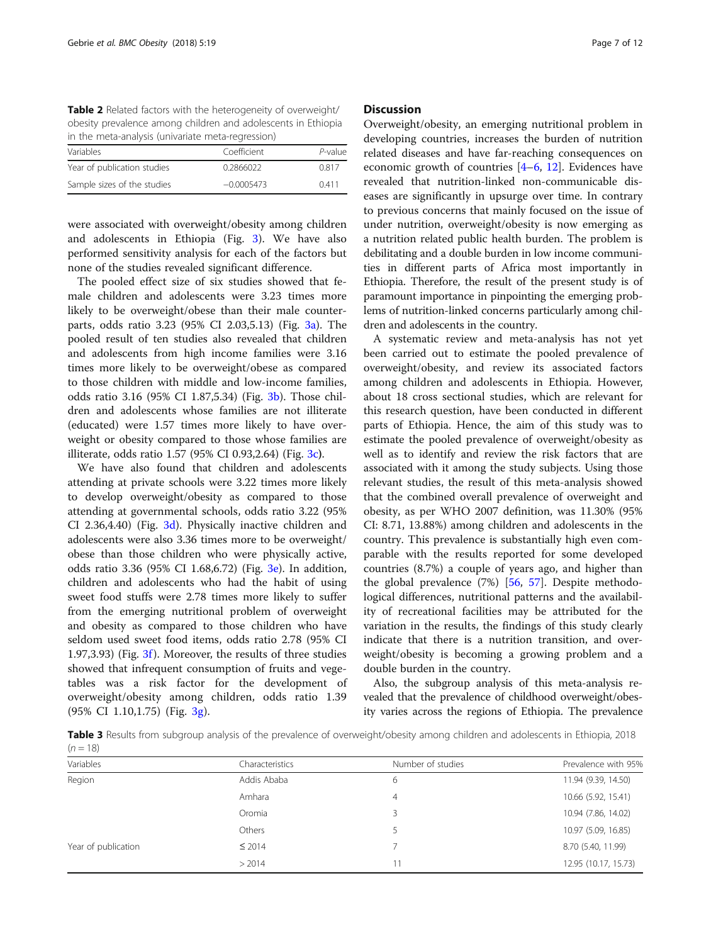<span id="page-6-0"></span>Table 2 Related factors with the heterogeneity of overweight/ obesity prevalence among children and adolescents in Ethiopia in the meta-analysis (univariate meta-regression)

| Variables                   | Coefficient  | P-value |  |
|-----------------------------|--------------|---------|--|
| Year of publication studies | 0.2866022    | 0.817   |  |
| Sample sizes of the studies | $-0.0005473$ | 0411    |  |

were associated with overweight/obesity among children and adolescents in Ethiopia (Fig. [3](#page-7-0)). We have also performed sensitivity analysis for each of the factors but none of the studies revealed significant difference.

The pooled effect size of six studies showed that female children and adolescents were 3.23 times more likely to be overweight/obese than their male counterparts, odds ratio 3.23 (95% CI 2.03,5.13) (Fig. [3a\)](#page-7-0). The pooled result of ten studies also revealed that children and adolescents from high income families were 3.16 times more likely to be overweight/obese as compared to those children with middle and low-income families, odds ratio 3.16 (95% CI 1.87,5.34) (Fig. [3b](#page-7-0)). Those children and adolescents whose families are not illiterate (educated) were 1.57 times more likely to have overweight or obesity compared to those whose families are illiterate, odds ratio 1.57 (95% CI 0.93,2.64) (Fig. [3c](#page-7-0)).

We have also found that children and adolescents attending at private schools were 3.22 times more likely to develop overweight/obesity as compared to those attending at governmental schools, odds ratio 3.22 (95% CI 2.36,4.40) (Fig. [3d](#page-7-0)). Physically inactive children and adolescents were also 3.36 times more to be overweight/ obese than those children who were physically active, odds ratio 3.36 (95% CI 1.68,6.72) (Fig. [3e](#page-7-0)). In addition, children and adolescents who had the habit of using sweet food stuffs were 2.78 times more likely to suffer from the emerging nutritional problem of overweight and obesity as compared to those children who have seldom used sweet food items, odds ratio 2.78 (95% CI 1.97,3.93) (Fig. [3f](#page-7-0)). Moreover, the results of three studies showed that infrequent consumption of fruits and vegetables was a risk factor for the development of overweight/obesity among children, odds ratio 1.39 (95% CI 1.10,1.75) (Fig. [3g\)](#page-7-0).

### **Discussion**

Overweight/obesity, an emerging nutritional problem in developing countries, increases the burden of nutrition related diseases and have far-reaching consequences on economic growth of countries [\[4](#page-9-0)–[6](#page-9-0), [12\]](#page-9-0). Evidences have revealed that nutrition-linked non-communicable diseases are significantly in upsurge over time. In contrary to previous concerns that mainly focused on the issue of under nutrition, overweight/obesity is now emerging as a nutrition related public health burden. The problem is debilitating and a double burden in low income communities in different parts of Africa most importantly in Ethiopia. Therefore, the result of the present study is of paramount importance in pinpointing the emerging problems of nutrition-linked concerns particularly among children and adolescents in the country.

A systematic review and meta-analysis has not yet been carried out to estimate the pooled prevalence of overweight/obesity, and review its associated factors among children and adolescents in Ethiopia. However, about 18 cross sectional studies, which are relevant for this research question, have been conducted in different parts of Ethiopia. Hence, the aim of this study was to estimate the pooled prevalence of overweight/obesity as well as to identify and review the risk factors that are associated with it among the study subjects. Using those relevant studies, the result of this meta-analysis showed that the combined overall prevalence of overweight and obesity, as per WHO 2007 definition, was 11.30% (95% CI: 8.71, 13.88%) among children and adolescents in the country. This prevalence is substantially high even comparable with the results reported for some developed countries (8.7%) a couple of years ago, and higher than the global prevalence (7%) [\[56,](#page-10-0) [57\]](#page-10-0). Despite methodological differences, nutritional patterns and the availability of recreational facilities may be attributed for the variation in the results, the findings of this study clearly indicate that there is a nutrition transition, and overweight/obesity is becoming a growing problem and a double burden in the country.

Also, the subgroup analysis of this meta-analysis revealed that the prevalence of childhood overweight/obesity varies across the regions of Ethiopia. The prevalence

Table 3 Results from subgroup analysis of the prevalence of overweight/obesity among children and adolescents in Ethiopia, 2018  $(n = 18)$ 

| Variables           | Characteristics | Number of studies | Prevalence with 95%  |
|---------------------|-----------------|-------------------|----------------------|
| Region              | Addis Ababa     | 6                 | 11.94 (9.39, 14.50)  |
|                     | Amhara          | $\overline{4}$    | 10.66 (5.92, 15.41)  |
|                     | Oromia          |                   | 10.94 (7.86, 14.02)  |
|                     | Others          |                   | 10.97 (5.09, 16.85)  |
| Year of publication | $\leq$ 2014     |                   | 8.70 (5.40, 11.99)   |
|                     | > 2014          |                   | 12.95 (10.17, 15.73) |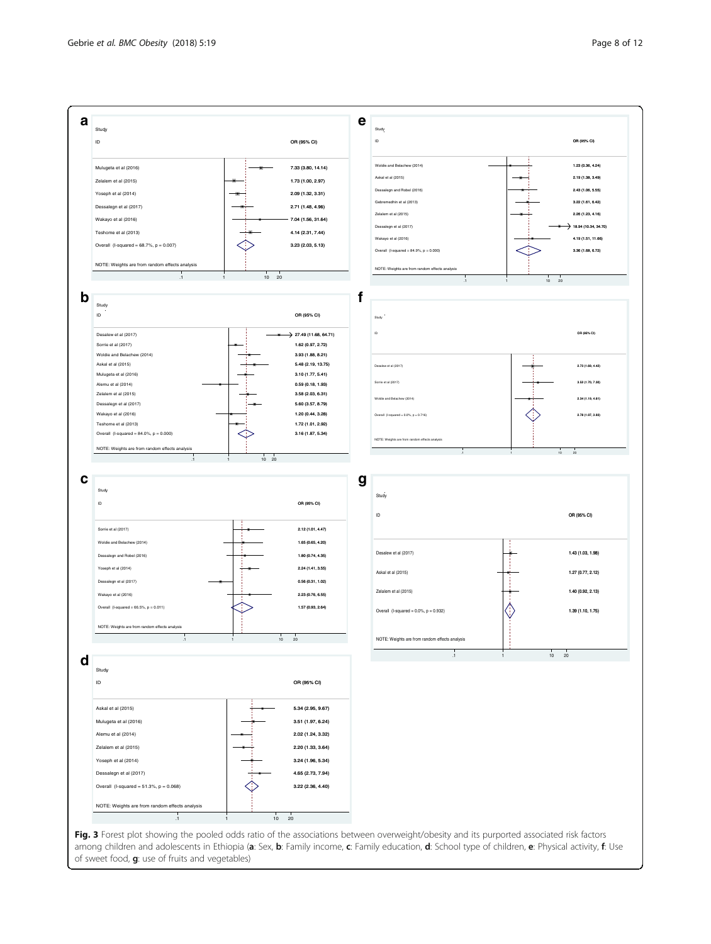<span id="page-7-0"></span>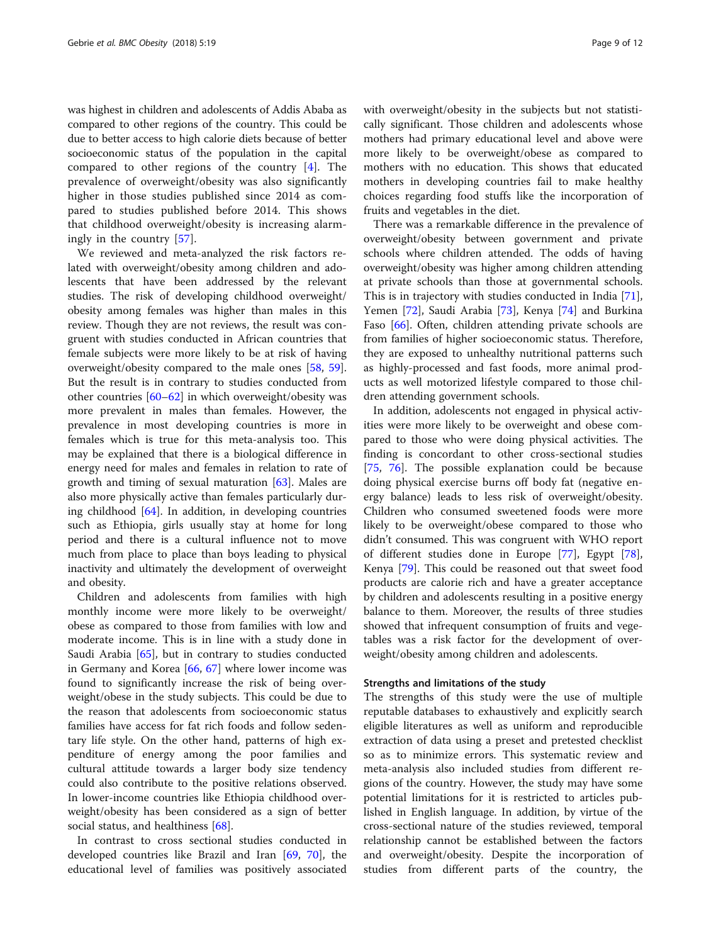was highest in children and adolescents of Addis Ababa as compared to other regions of the country. This could be due to better access to high calorie diets because of better socioeconomic status of the population in the capital compared to other regions of the country [[4\]](#page-9-0). The prevalence of overweight/obesity was also significantly higher in those studies published since 2014 as compared to studies published before 2014. This shows that childhood overweight/obesity is increasing alarmingly in the country [\[57](#page-10-0)].

We reviewed and meta-analyzed the risk factors related with overweight/obesity among children and adolescents that have been addressed by the relevant studies. The risk of developing childhood overweight/ obesity among females was higher than males in this review. Though they are not reviews, the result was congruent with studies conducted in African countries that female subjects were more likely to be at risk of having overweight/obesity compared to the male ones [[58](#page-10-0), [59](#page-10-0)]. But the result is in contrary to studies conducted from other countries [\[60](#page-10-0)–[62\]](#page-10-0) in which overweight/obesity was more prevalent in males than females. However, the prevalence in most developing countries is more in females which is true for this meta-analysis too. This may be explained that there is a biological difference in energy need for males and females in relation to rate of growth and timing of sexual maturation [\[63](#page-10-0)]. Males are also more physically active than females particularly during childhood [\[64](#page-10-0)]. In addition, in developing countries such as Ethiopia, girls usually stay at home for long period and there is a cultural influence not to move much from place to place than boys leading to physical inactivity and ultimately the development of overweight and obesity.

Children and adolescents from families with high monthly income were more likely to be overweight/ obese as compared to those from families with low and moderate income. This is in line with a study done in Saudi Arabia [\[65\]](#page-10-0), but in contrary to studies conducted in Germany and Korea [\[66](#page-10-0), [67](#page-10-0)] where lower income was found to significantly increase the risk of being overweight/obese in the study subjects. This could be due to the reason that adolescents from socioeconomic status families have access for fat rich foods and follow sedentary life style. On the other hand, patterns of high expenditure of energy among the poor families and cultural attitude towards a larger body size tendency could also contribute to the positive relations observed. In lower-income countries like Ethiopia childhood overweight/obesity has been considered as a sign of better social status, and healthiness [[68](#page-10-0)].

In contrast to cross sectional studies conducted in developed countries like Brazil and Iran [\[69,](#page-10-0) [70](#page-10-0)], the educational level of families was positively associated with overweight/obesity in the subjects but not statistically significant. Those children and adolescents whose mothers had primary educational level and above were more likely to be overweight/obese as compared to mothers with no education. This shows that educated mothers in developing countries fail to make healthy choices regarding food stuffs like the incorporation of fruits and vegetables in the diet.

There was a remarkable difference in the prevalence of overweight/obesity between government and private schools where children attended. The odds of having overweight/obesity was higher among children attending at private schools than those at governmental schools. This is in trajectory with studies conducted in India [\[71](#page-10-0)], Yemen [\[72](#page-10-0)], Saudi Arabia [[73](#page-11-0)], Kenya [[74\]](#page-11-0) and Burkina Faso [\[66](#page-10-0)]. Often, children attending private schools are from families of higher socioeconomic status. Therefore, they are exposed to unhealthy nutritional patterns such as highly-processed and fast foods, more animal products as well motorized lifestyle compared to those children attending government schools.

In addition, adolescents not engaged in physical activities were more likely to be overweight and obese compared to those who were doing physical activities. The finding is concordant to other cross-sectional studies [[75,](#page-11-0) [76\]](#page-11-0). The possible explanation could be because doing physical exercise burns off body fat (negative energy balance) leads to less risk of overweight/obesity. Children who consumed sweetened foods were more likely to be overweight/obese compared to those who didn't consumed. This was congruent with WHO report of different studies done in Europe [[77](#page-11-0)], Egypt [\[78](#page-11-0)], Kenya [[79\]](#page-11-0). This could be reasoned out that sweet food products are calorie rich and have a greater acceptance by children and adolescents resulting in a positive energy balance to them. Moreover, the results of three studies showed that infrequent consumption of fruits and vegetables was a risk factor for the development of overweight/obesity among children and adolescents.

### Strengths and limitations of the study

The strengths of this study were the use of multiple reputable databases to exhaustively and explicitly search eligible literatures as well as uniform and reproducible extraction of data using a preset and pretested checklist so as to minimize errors. This systematic review and meta-analysis also included studies from different regions of the country. However, the study may have some potential limitations for it is restricted to articles published in English language. In addition, by virtue of the cross-sectional nature of the studies reviewed, temporal relationship cannot be established between the factors and overweight/obesity. Despite the incorporation of studies from different parts of the country, the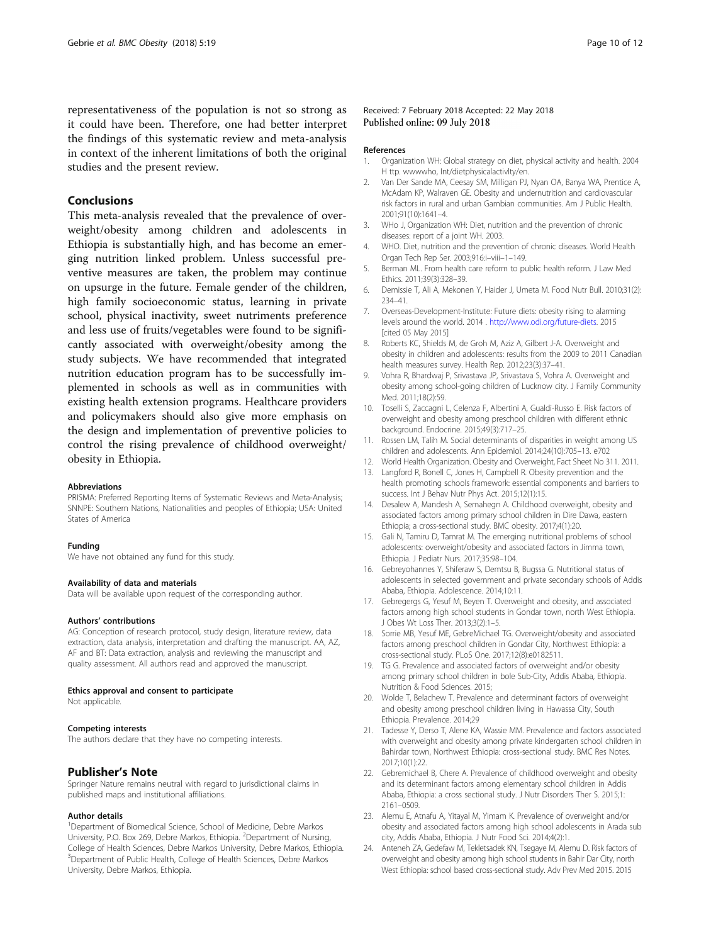<span id="page-9-0"></span>representativeness of the population is not so strong as it could have been. Therefore, one had better interpret the findings of this systematic review and meta-analysis in context of the inherent limitations of both the original studies and the present review.

### Conclusions

This meta-analysis revealed that the prevalence of overweight/obesity among children and adolescents in Ethiopia is substantially high, and has become an emerging nutrition linked problem. Unless successful preventive measures are taken, the problem may continue on upsurge in the future. Female gender of the children, high family socioeconomic status, learning in private school, physical inactivity, sweet nutriments preference and less use of fruits/vegetables were found to be significantly associated with overweight/obesity among the study subjects. We have recommended that integrated nutrition education program has to be successfully implemented in schools as well as in communities with existing health extension programs. Healthcare providers and policymakers should also give more emphasis on the design and implementation of preventive policies to control the rising prevalence of childhood overweight/ obesity in Ethiopia.

#### **Abbreviations**

PRISMA: Preferred Reporting Items of Systematic Reviews and Meta-Analysis; SNNPE: Southern Nations, Nationalities and peoples of Ethiopia; USA: United States of America

#### Funding

We have not obtained any fund for this study.

#### Availability of data and materials

Data will be available upon request of the corresponding author.

#### Authors' contributions

AG: Conception of research protocol, study design, literature review, data extraction, data analysis, interpretation and drafting the manuscript. AA, AZ, AF and BT: Data extraction, analysis and reviewing the manuscript and quality assessment. All authors read and approved the manuscript.

#### Ethics approval and consent to participate

Not applicable.

#### Competing interests

The authors declare that they have no competing interests.

# Publisher's Note

Springer Nature remains neutral with regard to jurisdictional claims in published maps and institutional affiliations.

#### Author details

<sup>1</sup>Department of Biomedical Science, School of Medicine, Debre Markos University, P.O. Box 269, Debre Markos, Ethiopia. <sup>2</sup>Department of Nursing, College of Health Sciences, Debre Markos University, Debre Markos, Ethiopia. <sup>3</sup>Department of Public Health, College of Health Sciences, Debre Markos University, Debre Markos, Ethiopia.

#### References

- 1. Organization WH: Global strategy on diet, physical activity and health. 2004 H ttp. wwwwho, Int/dietphysicalactivlty/en.
- 2. Van Der Sande MA, Ceesay SM, Milligan PJ, Nyan OA, Banya WA, Prentice A, McAdam KP, Walraven GE. Obesity and undernutrition and cardiovascular risk factors in rural and urban Gambian communities. Am J Public Health. 2001;91(10):1641–4.
- 3. WHo J, Organization WH: Diet, nutrition and the prevention of chronic diseases: report of a joint WH. 2003.
- 4. WHO. Diet, nutrition and the prevention of chronic diseases. World Health Organ Tech Rep Ser. 2003;916:i–viii–1–149.
- 5. Berman ML. From health care reform to public health reform. J Law Med Ethics. 2011;39(3):328–39.
- 6. Demissie T, Ali A, Mekonen Y, Haider J, Umeta M. Food Nutr Bull. 2010;31(2): 234–41.
- 7. Overseas-Development-Institute: Future diets: obesity rising to alarming levels around the world. 2014 . [http://www.odi.org/future-diets.](http://www.odi.org/future-diets) 2015 [cited 05 May 2015]
- 8. Roberts KC, Shields M, de Groh M, Aziz A, Gilbert J-A. Overweight and obesity in children and adolescents: results from the 2009 to 2011 Canadian health measures survey. Health Rep. 2012;23(3):37–41.
- 9. Vohra R, Bhardwaj P, Srivastava JP, Srivastava S, Vohra A. Overweight and obesity among school-going children of Lucknow city. J Family Community Med. 2011;18(2):59.
- 10. Toselli S, Zaccagni L, Celenza F, Albertini A, Gualdi-Russo E. Risk factors of overweight and obesity among preschool children with different ethnic background. Endocrine. 2015;49(3):717–25.
- 11. Rossen LM, Talih M. Social determinants of disparities in weight among US children and adolescents. Ann Epidemiol. 2014;24(10):705–13. e702
- 12. World Health Organization. Obesity and Overweight, Fact Sheet No 311. 2011.
- 13. Langford R, Bonell C, Jones H, Campbell R. Obesity prevention and the health promoting schools framework: essential components and barriers to success. Int J Behav Nutr Phys Act. 2015;12(1):15.
- 14. Desalew A, Mandesh A, Semahegn A. Childhood overweight, obesity and associated factors among primary school children in Dire Dawa, eastern Ethiopia; a cross-sectional study. BMC obesity. 2017;4(1):20.
- 15. Gali N, Tamiru D, Tamrat M. The emerging nutritional problems of school adolescents: overweight/obesity and associated factors in Jimma town, Ethiopia. J Pediatr Nurs. 2017;35:98–104.
- 16. Gebreyohannes Y, Shiferaw S, Demtsu B, Bugssa G. Nutritional status of adolescents in selected government and private secondary schools of Addis Ababa, Ethiopia. Adolescence. 2014;10:11.
- 17. Gebregergs G, Yesuf M, Beyen T. Overweight and obesity, and associated factors among high school students in Gondar town, north West Ethiopia. J Obes Wt Loss Ther. 2013;3(2):1–5.
- 18. Sorrie MB, Yesuf ME, GebreMichael TG. Overweight/obesity and associated factors among preschool children in Gondar City, Northwest Ethiopia: a cross-sectional study. PLoS One. 2017;12(8):e0182511.
- 19. TG G. Prevalence and associated factors of overweight and/or obesity among primary school children in bole Sub-City, Addis Ababa, Ethiopia. Nutrition & Food Sciences. 2015;
- 20. Wolde T, Belachew T. Prevalence and determinant factors of overweight and obesity among preschool children living in Hawassa City, South Ethiopia. Prevalence. 2014;29
- 21. Tadesse Y, Derso T, Alene KA, Wassie MM. Prevalence and factors associated with overweight and obesity among private kindergarten school children in Bahirdar town, Northwest Ethiopia: cross-sectional study. BMC Res Notes. 2017;10(1):22.
- 22. Gebremichael B, Chere A. Prevalence of childhood overweight and obesity and its determinant factors among elementary school children in Addis Ababa, Ethiopia: a cross sectional study. J Nutr Disorders Ther S. 2015;1: 2161–0509.
- 23. Alemu E, Atnafu A, Yitayal M, Yimam K. Prevalence of overweight and/or obesity and associated factors among high school adolescents in Arada sub city, Addis Ababa, Ethiopia. J Nutr Food Sci. 2014;4(2):1.
- 24. Anteneh ZA, Gedefaw M, Tekletsadek KN, Tsegaye M, Alemu D. Risk factors of overweight and obesity among high school students in Bahir Dar City, north West Ethiopia: school based cross-sectional study. Adv Prev Med 2015. 2015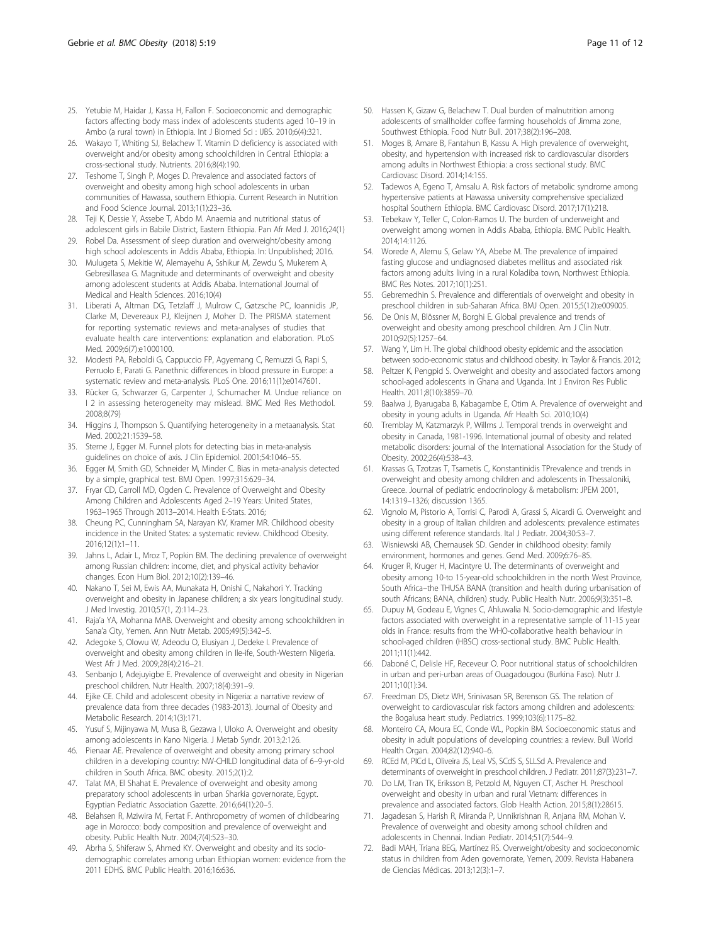- <span id="page-10-0"></span>25. Yetubie M, Haidar J, Kassa H, Fallon F. Socioeconomic and demographic factors affecting body mass index of adolescents students aged 10–19 in Ambo (a rural town) in Ethiopia. Int J Biomed Sci : IJBS. 2010;6(4):321.
- 26. Wakayo T, Whiting SJ, Belachew T. Vitamin D deficiency is associated with overweight and/or obesity among schoolchildren in Central Ethiopia: a cross-sectional study. Nutrients. 2016;8(4):190.
- 27. Teshome T, Singh P, Moges D. Prevalence and associated factors of overweight and obesity among high school adolescents in urban communities of Hawassa, southern Ethiopia. Current Research in Nutrition and Food Science Journal. 2013;1(1):23–36.
- 28. Teji K, Dessie Y, Assebe T, Abdo M. Anaemia and nutritional status of adolescent girls in Babile District, Eastern Ethiopia. Pan Afr Med J. 2016;24(1)
- 29. Robel Da. Assessment of sleep duration and overweight/obesity among high school adolescents in Addis Ababa, Ethiopia. In: Unpublished; 2016.
- 30. Mulugeta S, Mekitie W, Alemayehu A, Sshikur M, Zewdu S, Mukerem A, Gebresillasea G. Magnitude and determinants of overweight and obesity among adolescent students at Addis Ababa. International Journal of Medical and Health Sciences. 2016;10(4)
- 31. Liberati A, Altman DG, Tetzlaff J, Mulrow C, Gøtzsche PC, Ioannidis JP, Clarke M, Devereaux PJ, Kleijnen J, Moher D. The PRISMA statement for reporting systematic reviews and meta-analyses of studies that evaluate health care interventions: explanation and elaboration. PLoS Med. 2009;6(7):e1000100.
- 32. Modesti PA, Reboldi G, Cappuccio FP, Agyemang C, Remuzzi G, Rapi S, Perruolo E, Parati G. Panethnic differences in blood pressure in Europe: a systematic review and meta-analysis. PLoS One. 2016;11(1):e0147601.
- 33. Rücker G, Schwarzer G, Carpenter J, Schumacher M. Undue reliance on I 2 in assessing heterogeneity may mislead. BMC Med Res Methodol. 2008;8(79)
- 34. Higgins J, Thompson S. Quantifying heterogeneity in a metaanalysis. Stat Med. 2002;21:1539–58.
- 35. Sterne J, Egger M. Funnel plots for detecting bias in meta-analysis guidelines on choice of axis. J Clin Epidemiol. 2001;54:1046–55.
- 36. Egger M, Smith GD, Schneider M, Minder C. Bias in meta-analysis detected by a simple, graphical test. BMJ Open. 1997;315:629–34.
- 37. Fryar CD, Carroll MD, Ogden C. Prevalence of Overweight and Obesity Among Children and Adolescents Aged 2–19 Years: United States, 1963–1965 Through 2013–2014. Health E-Stats. 2016;
- 38. Cheung PC, Cunningham SA, Narayan KV, Kramer MR. Childhood obesity incidence in the United States: a systematic review. Childhood Obesity. 2016;12(1):1–11.
- 39. Jahns L, Adair L, Mroz T, Popkin BM. The declining prevalence of overweight among Russian children: income, diet, and physical activity behavior changes. Econ Hum Biol. 2012;10(2):139–46.
- 40. Nakano T, Sei M, Ewis AA, Munakata H, Onishi C, Nakahori Y. Tracking overweight and obesity in Japanese children; a six years longitudinal study. J Med Investig. 2010;57(1, 2):114–23.
- 41. Raja'a YA, Mohanna MAB. Overweight and obesity among schoolchildren in Sana'a City, Yemen. Ann Nutr Metab. 2005;49(5):342–5.
- 42. Adegoke S, Olowu W, Adeodu O, Elusiyan J, Dedeke I. Prevalence of overweight and obesity among children in Ile-ife, South-Western Nigeria. West Afr J Med. 2009;28(4):216–21.
- 43. Senbanjo I, Adejuyigbe E. Prevalence of overweight and obesity in Nigerian preschool children. Nutr Health. 2007;18(4):391–9.
- 44. Ejike CE. Child and adolescent obesity in Nigeria: a narrative review of prevalence data from three decades (1983-2013). Journal of Obesity and Metabolic Research. 2014;1(3):171.
- 45. Yusuf S, Mijinyawa M, Musa B, Gezawa I, Uloko A. Overweight and obesity among adolescents in Kano Nigeria. J Metab Syndr. 2013;2:126.
- 46. Pienaar AE. Prevalence of overweight and obesity among primary school children in a developing country: NW-CHILD longitudinal data of 6–9-yr-old children in South Africa. BMC obesity. 2015;2(1):2.
- 47. Talat MA, El Shahat E. Prevalence of overweight and obesity among preparatory school adolescents in urban Sharkia governorate, Egypt. Egyptian Pediatric Association Gazette. 2016;64(1):20–5.
- 48. Belahsen R, Mziwira M, Fertat F. Anthropometry of women of childbearing age in Morocco: body composition and prevalence of overweight and obesity. Public Health Nutr. 2004;7(4):523–30.
- 49. Abrha S, Shiferaw S, Ahmed KY. Overweight and obesity and its sociodemographic correlates among urban Ethiopian women: evidence from the 2011 EDHS. BMC Public Health. 2016;16:636.
- 50. Hassen K, Gizaw G, Belachew T. Dual burden of malnutrition among adolescents of smallholder coffee farming households of Jimma zone, Southwest Ethiopia. Food Nutr Bull. 2017;38(2):196–208.
- 51. Moges B, Amare B, Fantahun B, Kassu A. High prevalence of overweight, obesity, and hypertension with increased risk to cardiovascular disorders among adults in Northwest Ethiopia: a cross sectional study. BMC Cardiovasc Disord. 2014;14:155.
- 52. Tadewos A, Egeno T, Amsalu A. Risk factors of metabolic syndrome among hypertensive patients at Hawassa university comprehensive specialized hospital Southern Ethiopia. BMC Cardiovasc Disord. 2017;17(1):218.
- 53. Tebekaw Y, Teller C, Colon-Ramos U. The burden of underweight and overweight among women in Addis Ababa, Ethiopia. BMC Public Health. 2014;14:1126.
- 54. Worede A, Alemu S, Gelaw YA, Abebe M. The prevalence of impaired fasting glucose and undiagnosed diabetes mellitus and associated risk factors among adults living in a rural Koladiba town, Northwest Ethiopia. BMC Res Notes. 2017;10(1):251.
- 55. Gebremedhin S. Prevalence and differentials of overweight and obesity in preschool children in sub-Saharan Africa. BMJ Open. 2015;5(12):e009005.
- 56. De Onis M, Blössner M, Borghi E. Global prevalence and trends of overweight and obesity among preschool children. Am J Clin Nutr. 2010;92(5):1257–64.
- 57. Wang Y, Lim H. The global childhood obesity epidemic and the association between socio-economic status and childhood obesity. In: Taylor & Francis. 2012;
- Peltzer K, Pengpid S. Overweight and obesity and associated factors among school-aged adolescents in Ghana and Uganda. Int J Environ Res Public Health. 2011;8(10):3859–70.
- 59. Baalwa J, Byarugaba B, Kabagambe E, Otim A. Prevalence of overweight and obesity in young adults in Uganda. Afr Health Sci. 2010;10(4)
- 60. Tremblay M, Katzmarzyk P, Willms J. Temporal trends in overweight and obesity in Canada, 1981-1996. International journal of obesity and related metabolic disorders: journal of the International Association for the Study of Obesity. 2002;26(4):538–43.
- 61. Krassas G, Tzotzas T, Tsametis C, Konstantinidis TPrevalence and trends in overweight and obesity among children and adolescents in Thessaloniki, Greece. Journal of pediatric endocrinology & metabolism: JPEM 2001, 14:1319–1326; discussion 1365.
- 62. Vignolo M, Pistorio A, Torrisi C, Parodi A, Grassi S, Aicardi G. Overweight and obesity in a group of Italian children and adolescents: prevalence estimates using different reference standards. Ital J Pediatr. 2004;30:53–7.
- 63. Wisniewski AB, Chernausek SD. Gender in childhood obesity: family environment, hormones and genes. Gend Med. 2009;6:76–85.
- 64. Kruger R, Kruger H, Macintyre U. The determinants of overweight and obesity among 10-to 15-year-old schoolchildren in the north West Province, South Africa–the THUSA BANA (transition and health during urbanisation of south Africans; BANA, children) study. Public Health Nutr. 2006;9(3):351–8.
- 65. Dupuy M, Godeau E, Vignes C, Ahluwalia N. Socio-demographic and lifestyle factors associated with overweight in a representative sample of 11-15 year olds in France: results from the WHO-collaborative health behaviour in school-aged children (HBSC) cross-sectional study. BMC Public Health. 2011;11(1):442.
- 66. Daboné C, Delisle HF, Receveur O. Poor nutritional status of schoolchildren in urban and peri-urban areas of Ouagadougou (Burkina Faso). Nutr J. 2011;10(1):34.
- 67. Freedman DS, Dietz WH, Srinivasan SR, Berenson GS. The relation of overweight to cardiovascular risk factors among children and adolescents: the Bogalusa heart study. Pediatrics. 1999;103(6):1175–82.
- 68. Monteiro CA, Moura EC, Conde WL, Popkin BM. Socioeconomic status and obesity in adult populations of developing countries: a review. Bull World Health Organ. 2004;82(12):940–6.
- RCEd M, PICd L, Oliveira JS, Leal VS, SCdS S, SLLSd A. Prevalence and determinants of overweight in preschool children. J Pediatr. 2011;87(3):231–7.
- 70. Do LM, Tran TK, Eriksson B, Petzold M, Nguyen CT, Ascher H. Preschool overweight and obesity in urban and rural Vietnam: differences in prevalence and associated factors. Glob Health Action. 2015;8(1):28615.
- 71. Jagadesan S, Harish R, Miranda P, Unnikrishnan R, Anjana RM, Mohan V. Prevalence of overweight and obesity among school children and adolescents in Chennai. Indian Pediatr. 2014;51(7):544–9.
- 72. Badi MAH, Triana BEG, Martínez RS. Overweight/obesity and socioeconomic status in children from Aden governorate, Yemen, 2009. Revista Habanera de Ciencias Médicas. 2013;12(3):1–7.